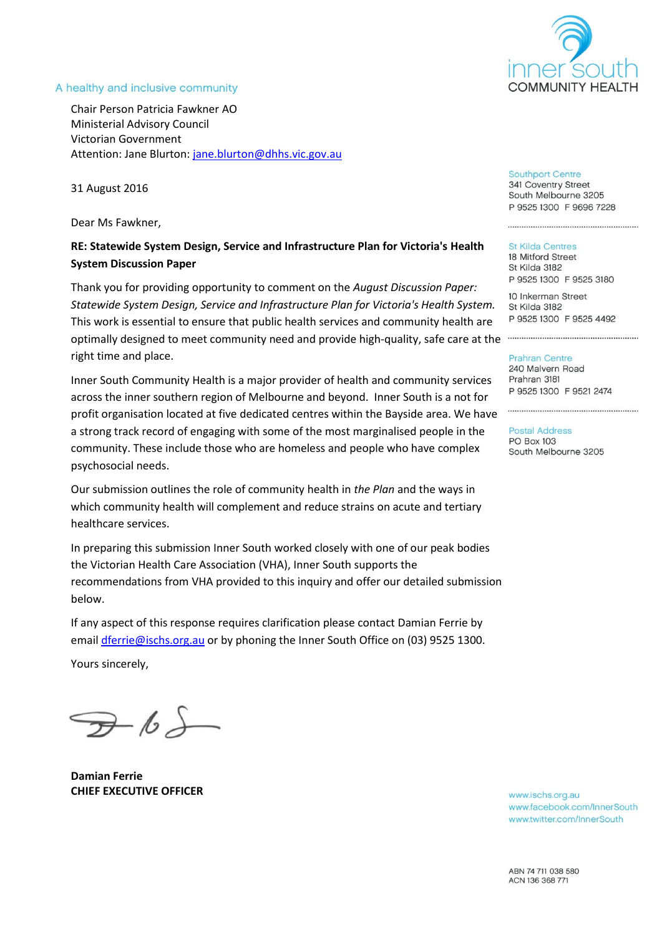

#### A healthy and inclusive community

Chair Person Patricia Fawkner AO Ministerial Advisory Council Victorian Government Attention: Jane Blurton: [jane.blurton@dhhs.vic.gov.au](mailto:jane.blurton@dhhs.vic.gov.au)

31 August 2016

Dear Ms Fawkner,

# **RE: Statewide System Design, Service and Infrastructure Plan for Victoria's Health System Discussion Paper**

Thank you for providing opportunity to comment on the *August Discussion Paper: Statewide System Design, Service and Infrastructure Plan for Victoria's Health System.*  This work is essential to ensure that public health services and community health are optimally designed to meet community need and provide high-quality, safe care at the right time and place.

Inner South Community Health is a major provider of health and community services across the inner southern region of Melbourne and beyond. Inner South is a not for profit organisation located at five dedicated centres within the Bayside area. We have a strong track record of engaging with some of the most marginalised people in the community. These include those who are homeless and people who have complex psychosocial needs.

Our submission outlines the role of community health in *the Plan* and the ways in which community health will complement and reduce strains on acute and tertiary healthcare services.

In preparing this submission Inner South worked closely with one of our peak bodies the Victorian Health Care Association (VHA), Inner South supports the recommendations from VHA provided to this inquiry and offer our detailed submission below.

If any aspect of this response requires clarification please contact Damian Ferrie by email [dferrie@ischs.org.au](mailto:dferrie@ischs.org.au) or by phoning the Inner South Office on (03) 9525 1300.

Yours sincerely,

 $\neg$ -6)

**Damian Ferrie CHIEF EXECUTIVE OFFICER**

**Southport Centre** 

341 Coventry Street South Melbourne 3205 P 9525 1300 F 9696 7228

#### **St Kilda Centres**

18 Mitford Street St Kilda 3182 P 9525 1300 F 9525 3180

10 Inkerman Street St Kilda 3182 P 9525 1300 F 9525 4492

**Prahran Centre** 

240 Malvern Road Prahran 3181 P 9525 1300 F 9521 2474

**Postal Address** PO Box 103 South Melbourne 3205

www.ischs.org.au www.facebook.com/InnerSouth www.twitter.com/InnerSouth

ABN 74 711 038 580 ACN 136 368 771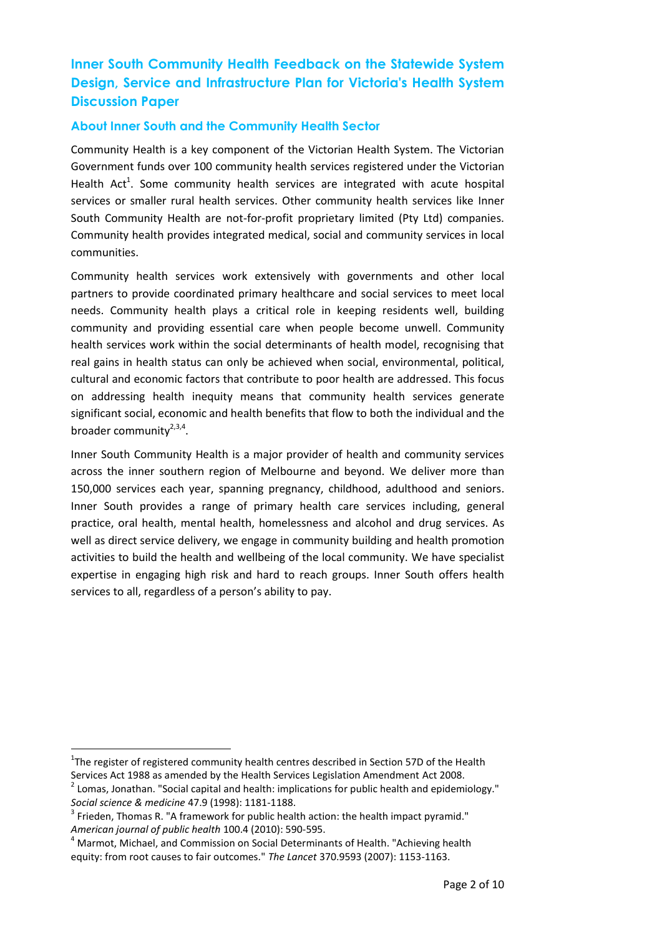# **Inner South Community Health Feedback on the Statewide System Design, Service and Infrastructure Plan for Victoria's Health System Discussion Paper**

# **About Inner South and the Community Health Sector**

Community Health is a key component of the Victorian Health System. The Victorian Government funds over 100 community health services registered under the Victorian Health Act<sup>1</sup>. Some community health services are integrated with acute hospital services or smaller rural health services. Other community health services like Inner South Community Health are not-for-profit proprietary limited (Pty Ltd) companies. Community health provides integrated medical, social and community services in local communities.

Community health services work extensively with governments and other local partners to provide coordinated primary healthcare and social services to meet local needs. Community health plays a critical role in keeping residents well, building community and providing essential care when people become unwell. Community health services work within the social determinants of health model, recognising that real gains in health status can only be achieved when social, environmental, political, cultural and economic factors that contribute to poor health are addressed. This focus on addressing health inequity means that community health services generate significant social, economic and health benefits that flow to both the individual and the broader community<sup>2,3,4</sup>.

Inner South Community Health is a major provider of health and community services across the inner southern region of Melbourne and beyond. We deliver more than 150,000 services each year, spanning pregnancy, childhood, adulthood and seniors. Inner South provides a range of primary health care services including, general practice, oral health, mental health, homelessness and alcohol and drug services. As well as direct service delivery, we engage in community building and health promotion activities to build the health and wellbeing of the local community. We have specialist expertise in engaging high risk and hard to reach groups. Inner South offers health services to all, regardless of a person's ability to pay.

 $\overline{\phantom{a}}$ 

 $1$ The register of registered community health centres described in Section 57D of the Health

Services Act 1988 as amended by the Health Services Legislation Amendment Act 2008.

 $^{2}$  Lomas, Jonathan. "Social capital and health: implications for public health and epidemiology." *Social science & medicine* 47.9 (1998): 1181-1188.

 $3$  Frieden, Thomas R. "A framework for public health action: the health impact pyramid." *American journal of public health* 100.4 (2010): 590-595.

<sup>&</sup>lt;sup>4</sup> Marmot, Michael, and Commission on Social Determinants of Health. "Achieving health equity: from root causes to fair outcomes." *The Lancet* 370.9593 (2007): 1153-1163.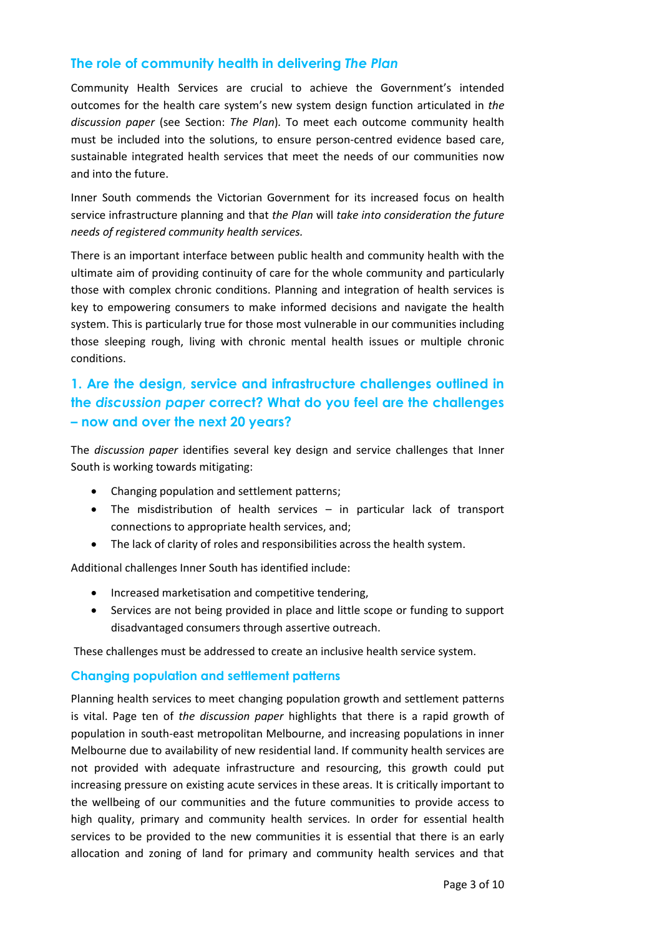# **The role of community health in delivering** *The Plan*

Community Health Services are crucial to achieve the Government's intended outcomes for the health care system's new system design function articulated in *the discussion paper* (see Section: *The Plan*)*.* To meet each outcome community health must be included into the solutions, to ensure person-centred evidence based care, sustainable integrated health services that meet the needs of our communities now and into the future.

Inner South commends the Victorian Government for its increased focus on health service infrastructure planning and that *the Plan* will *take into consideration the future needs of registered community health services.*

There is an important interface between public health and community health with the ultimate aim of providing continuity of care for the whole community and particularly those with complex chronic conditions. Planning and integration of health services is key to empowering consumers to make informed decisions and navigate the health system. This is particularly true for those most vulnerable in our communities including those sleeping rough, living with chronic mental health issues or multiple chronic conditions.

# **1. Are the design, service and infrastructure challenges outlined in the** *discussion paper* **correct? What do you feel are the challenges – now and over the next 20 years?**

The *discussion paper* identifies several key design and service challenges that Inner South is working towards mitigating:

- Changing population and settlement patterns;
- The misdistribution of health services in particular lack of transport connections to appropriate health services, and;
- The lack of clarity of roles and responsibilities across the health system.

Additional challenges Inner South has identified include:

- Increased marketisation and competitive tendering,
- Services are not being provided in place and little scope or funding to support disadvantaged consumers through assertive outreach.

These challenges must be addressed to create an inclusive health service system.

## **Changing population and settlement patterns**

Planning health services to meet changing population growth and settlement patterns is vital. Page ten of *the discussion paper* highlights that there is a rapid growth of population in south-east metropolitan Melbourne, and increasing populations in inner Melbourne due to availability of new residential land. If community health services are not provided with adequate infrastructure and resourcing, this growth could put increasing pressure on existing acute services in these areas. It is critically important to the wellbeing of our communities and the future communities to provide access to high quality, primary and community health services. In order for essential health services to be provided to the new communities it is essential that there is an early allocation and zoning of land for primary and community health services and that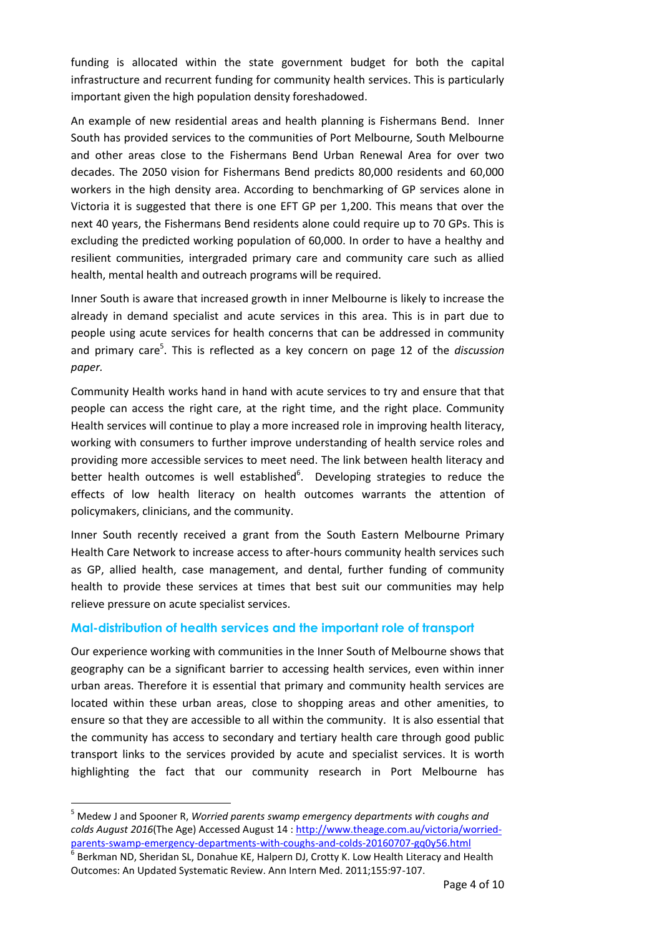funding is allocated within the state government budget for both the capital infrastructure and recurrent funding for community health services. This is particularly important given the high population density foreshadowed.

An example of new residential areas and health planning is Fishermans Bend. Inner South has provided services to the communities of Port Melbourne, South Melbourne and other areas close to the Fishermans Bend Urban Renewal Area for over two decades. The 2050 vision for Fishermans Bend predicts 80,000 residents and 60,000 workers in the high density area. According to benchmarking of GP services alone in Victoria it is suggested that there is one EFT GP per 1,200. This means that over the next 40 years, the Fishermans Bend residents alone could require up to 70 GPs. This is excluding the predicted working population of 60,000. In order to have a healthy and resilient communities, intergraded primary care and community care such as allied health, mental health and outreach programs will be required.

Inner South is aware that increased growth in inner Melbourne is likely to increase the already in demand specialist and acute services in this area. This is in part due to people using acute services for health concerns that can be addressed in community and primary care<sup>5</sup>. This is reflected as a key concern on page 12 of the *discussion paper.*

Community Health works hand in hand with acute services to try and ensure that that people can access the right care, at the right time, and the right place. Community Health services will continue to play a more increased role in improving health literacy, working with consumers to further improve understanding of health service roles and providing more accessible services to meet need. The link between health literacy and better health outcomes is well established<sup>6</sup>. Developing strategies to reduce the effects of low health literacy on health outcomes warrants the attention of policymakers, clinicians, and the community.

Inner South recently received a grant from the South Eastern Melbourne Primary Health Care Network to increase access to after-hours community health services such as GP, allied health, case management, and dental, further funding of community health to provide these services at times that best suit our communities may help relieve pressure on acute specialist services.

## **Mal-distribution of health services and the important role of transport**

Our experience working with communities in the Inner South of Melbourne shows that geography can be a significant barrier to accessing health services, even within inner urban areas. Therefore it is essential that primary and community health services are located within these urban areas, close to shopping areas and other amenities, to ensure so that they are accessible to all within the community. It is also essential that the community has access to secondary and tertiary health care through good public transport links to the services provided by acute and specialist services. It is worth highlighting the fact that our community research in Port Melbourne has

 $\overline{\phantom{a}}$ 

<sup>5</sup> Medew J and Spooner R, *Worried parents swamp emergency departments with coughs and colds August 2016*(The Age) Accessed August 14 : [http://www.theage.com.au/victoria/worried](http://www.theage.com.au/victoria/worried-parents-swamp-emergency-departments-with-coughs-and-colds-20160707-gq0y56.html)[parents-swamp-emergency-departments-with-coughs-and-colds-20160707-gq0y56.html](http://www.theage.com.au/victoria/worried-parents-swamp-emergency-departments-with-coughs-and-colds-20160707-gq0y56.html)

 $^6$  Berkman ND, Sheridan SL, Donahue KE, Halpern DJ, Crotty K. Low Health Literacy and Health Outcomes: An Updated Systematic Review. Ann Intern Med. 2011;155:97-107.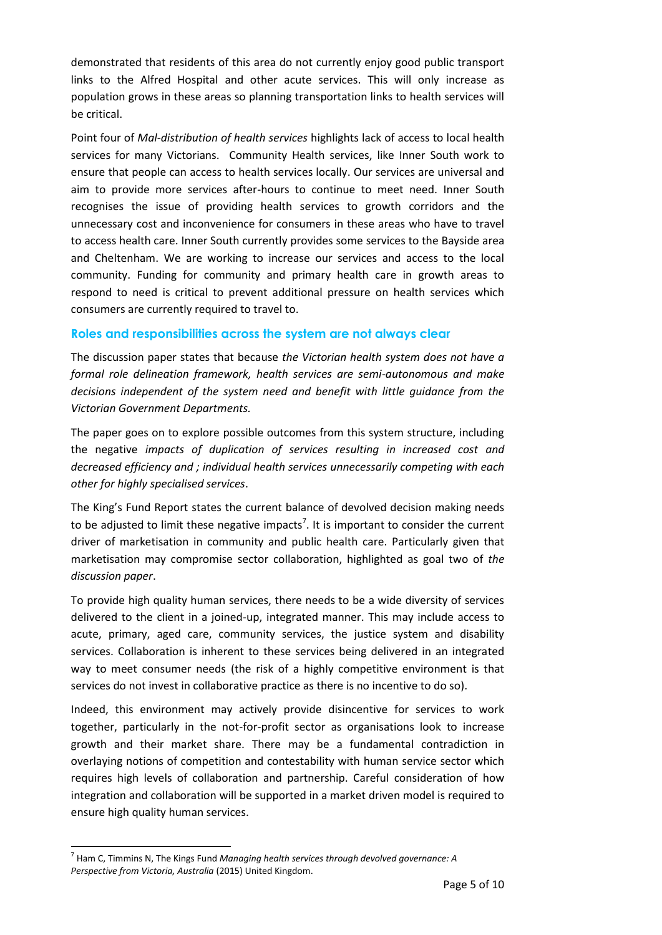demonstrated that residents of this area do not currently enjoy good public transport links to the Alfred Hospital and other acute services. This will only increase as population grows in these areas so planning transportation links to health services will be critical.

Point four of *Mal-distribution of health services* highlights lack of access to local health services for many Victorians. Community Health services, like Inner South work to ensure that people can access to health services locally. Our services are universal and aim to provide more services after-hours to continue to meet need. Inner South recognises the issue of providing health services to growth corridors and the unnecessary cost and inconvenience for consumers in these areas who have to travel to access health care. Inner South currently provides some services to the Bayside area and Cheltenham. We are working to increase our services and access to the local community. Funding for community and primary health care in growth areas to respond to need is critical to prevent additional pressure on health services which consumers are currently required to travel to.

## **Roles and responsibilities across the system are not always clear**

The discussion paper states that because *the Victorian health system does not have a formal role delineation framework, health services are semi-autonomous and make decisions independent of the system need and benefit with little guidance from the Victorian Government Departments.* 

The paper goes on to explore possible outcomes from this system structure, including the negative *impacts of duplication of services resulting in increased cost and decreased efficiency and ; individual health services unnecessarily competing with each other for highly specialised services*.

The King's Fund Report states the current balance of devolved decision making needs to be adjusted to limit these negative impacts<sup>7</sup>. It is important to consider the current driver of marketisation in community and public health care. Particularly given that marketisation may compromise sector collaboration, highlighted as goal two of *the discussion paper*.

To provide high quality human services, there needs to be a wide diversity of services delivered to the client in a joined-up, integrated manner. This may include access to acute, primary, aged care, community services, the justice system and disability services. Collaboration is inherent to these services being delivered in an integrated way to meet consumer needs (the risk of a highly competitive environment is that services do not invest in collaborative practice as there is no incentive to do so).

Indeed, this environment may actively provide disincentive for services to work together, particularly in the not-for-profit sector as organisations look to increase growth and their market share. There may be a fundamental contradiction in overlaying notions of competition and contestability with human service sector which requires high levels of collaboration and partnership. Careful consideration of how integration and collaboration will be supported in a market driven model is required to ensure high quality human services.

 $\overline{a}$ 

<sup>7</sup> Ham C, Timmins N, The Kings Fund *Managing health services through devolved governance: A Perspective from Victoria, Australia* (2015) United Kingdom.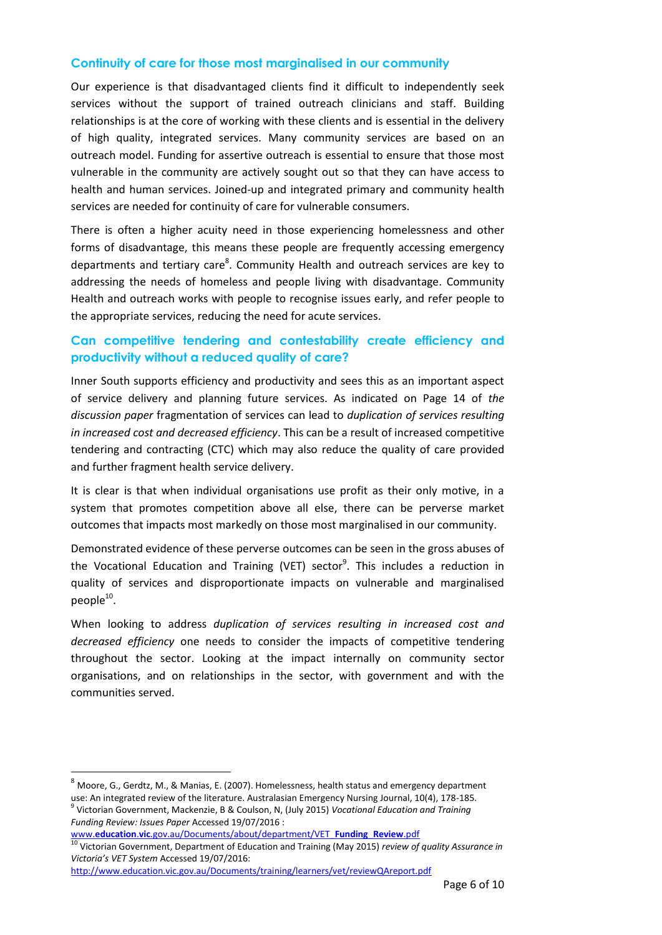#### **Continuity of care for those most marginalised in our community**

Our experience is that disadvantaged clients find it difficult to independently seek services without the support of trained outreach clinicians and staff. Building relationships is at the core of working with these clients and is essential in the delivery of high quality, integrated services. Many community services are based on an outreach model. Funding for assertive outreach is essential to ensure that those most vulnerable in the community are actively sought out so that they can have access to health and human services. Joined-up and integrated primary and community health services are needed for continuity of care for vulnerable consumers.

There is often a higher acuity need in those experiencing homelessness and other forms of disadvantage, this means these people are frequently accessing emergency departments and tertiary care<sup>8</sup>. Community Health and outreach services are key to addressing the needs of homeless and people living with disadvantage. Community Health and outreach works with people to recognise issues early, and refer people to the appropriate services, reducing the need for acute services.

# **Can competitive tendering and contestability create efficiency and productivity without a reduced quality of care?**

Inner South supports efficiency and productivity and sees this as an important aspect of service delivery and planning future services. As indicated on Page 14 of *the discussion paper* fragmentation of services can lead to *duplication of services resulting in increased cost and decreased efficiency*. This can be a result of increased competitive tendering and contracting (CTC) which may also reduce the quality of care provided and further fragment health service delivery.

It is clear is that when individual organisations use profit as their only motive, in a system that promotes competition above all else, there can be perverse market outcomes that impacts most markedly on those most marginalised in our community.

Demonstrated evidence of these perverse outcomes can be seen in the gross abuses of the Vocational Education and Training (VET) sector<sup>9</sup>. This includes a reduction in quality of services and disproportionate impacts on vulnerable and marginalised  $people^{10}$ .

When looking to address *duplication of services resulting in increased cost and decreased efficiency* one needs to consider the impacts of competitive tendering throughout the sector. Looking at the impact internally on community sector organisations, and on relationships in the sector, with government and with the communities served.

 $\overline{\phantom{a}}$ 

 $8$  Moore, G., Gerdtz, M., & Manias, E. (2007). Homelessness, health status and emergency department use: An integrated review of the literature. Australasian Emergency Nursing Journal, 10(4), 178-185.

<sup>9</sup> Victorian Government, Mackenzie, B & Coulson, N, (July 2015) *Vocational Education and Training Funding Review: Issues Paper* Accessed 19/07/2016 : www.**education**.**vic**[.gov.au/Documents/about/department/VET\\_](http://www.education.vic.gov.au/Documents/about/department/VET_Funding_Review.pdf)**Funding**\_**Review**.pdf

<sup>10</sup> Victorian Government, Department of Education and Training (May 2015) *review of quality Assurance in Victoria's VET System* Accessed 19/07/2016:

<http://www.education.vic.gov.au/Documents/training/learners/vet/reviewQAreport.pdf>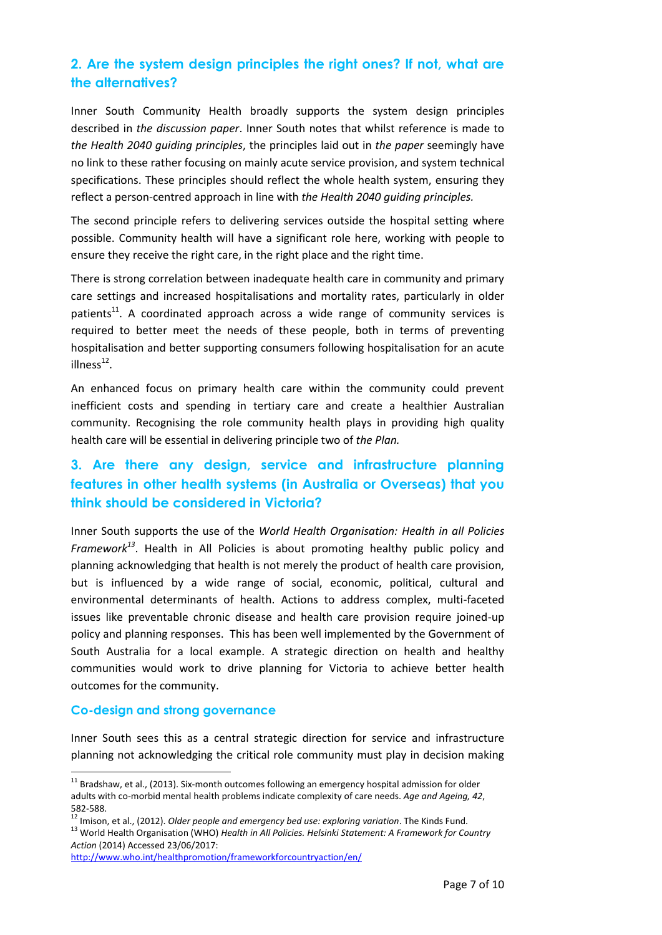# **2. Are the system design principles the right ones? If not, what are the alternatives?**

Inner South Community Health broadly supports the system design principles described in *the discussion paper*. Inner South notes that whilst reference is made to *the Health 2040 guiding principles*, the principles laid out in *the paper* seemingly have no link to these rather focusing on mainly acute service provision, and system technical specifications. These principles should reflect the whole health system, ensuring they reflect a person-centred approach in line with *the Health 2040 guiding principles.*

The second principle refers to delivering services outside the hospital setting where possible. Community health will have a significant role here, working with people to ensure they receive the right care, in the right place and the right time.

There is strong correlation between inadequate health care in community and primary care settings and increased hospitalisations and mortality rates, particularly in older patients<sup>11</sup>. A coordinated approach across a wide range of community services is required to better meet the needs of these people, both in terms of preventing hospitalisation and better supporting consumers following hospitalisation for an acute  $illness<sup>12</sup>$ .

An enhanced focus on primary health care within the community could prevent inefficient costs and spending in tertiary care and create a healthier Australian community. Recognising the role community health plays in providing high quality health care will be essential in delivering principle two of *the Plan.* 

# **3. Are there any design, service and infrastructure planning features in other health systems (in Australia or Overseas) that you think should be considered in Victoria?**

Inner South supports the use of the *World Health Organisation: Health in all Policies Framework<sup>13</sup>* . Health in All Policies is about promoting healthy public policy and planning acknowledging that health is not merely the product of health care provision, but is influenced by a wide range of social, economic, political, cultural and environmental determinants of health. Actions to address complex, multi-faceted issues like preventable chronic disease and health care provision require joined-up policy and planning responses. This has been well implemented by the Government of South Australia for a local example. A strategic direction on health and healthy communities would work to drive planning for Victoria to achieve better health outcomes for the community.

## **Co-design and strong governance**

 $\overline{\phantom{a}}$ 

Inner South sees this as a central strategic direction for service and infrastructure planning not acknowledging the critical role community must play in decision making

 $^{11}$  Bradshaw, et al., (2013). Six-month outcomes following an emergency hospital admission for older adults with co-morbid mental health problems indicate complexity of care needs. *Age and Ageing, 42*, 582-588.

<sup>12</sup> Imison, et al., (2012). *Older people and emergency bed use: exploring variation*. The Kinds Fund.

<sup>13</sup> World Health Organisation (WHO) *Health in All Policies. Helsinki Statement: A Framework for Country Action* (2014) Accessed 23/06/2017:

<http://www.who.int/healthpromotion/frameworkforcountryaction/en/>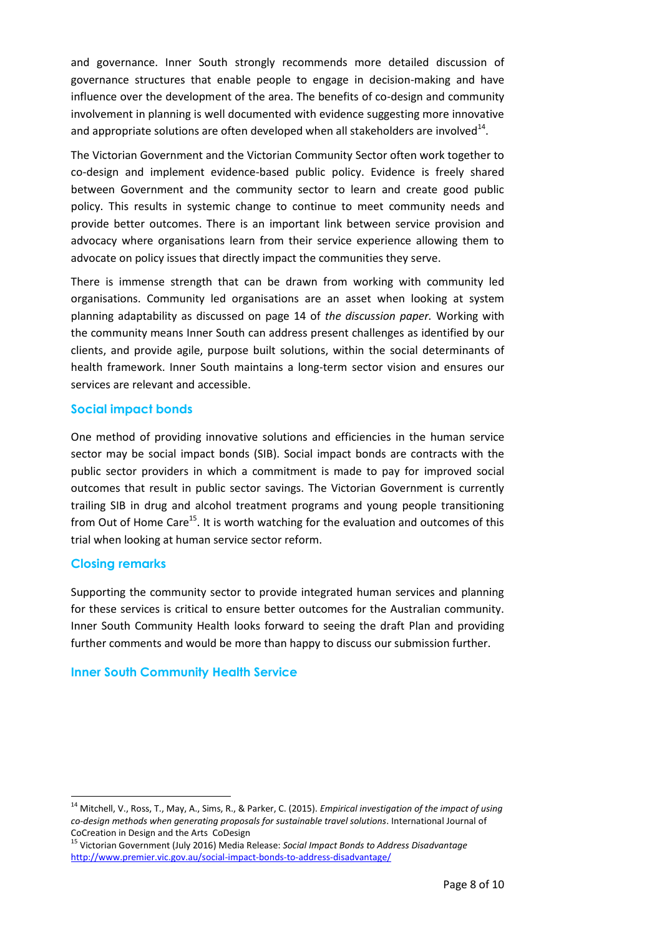and governance. Inner South strongly recommends more detailed discussion of governance structures that enable people to engage in decision-making and have influence over the development of the area. The benefits of co-design and community involvement in planning is well documented with evidence suggesting more innovative and appropriate solutions are often developed when all stakeholders are involved $^{14}$ .

The Victorian Government and the Victorian Community Sector often work together to co-design and implement evidence-based public policy. Evidence is freely shared between Government and the community sector to learn and create good public policy. This results in systemic change to continue to meet community needs and provide better outcomes. There is an important link between service provision and advocacy where organisations learn from their service experience allowing them to advocate on policy issues that directly impact the communities they serve.

There is immense strength that can be drawn from working with community led organisations. Community led organisations are an asset when looking at system planning adaptability as discussed on page 14 of *the discussion paper.* Working with the community means Inner South can address present challenges as identified by our clients, and provide agile, purpose built solutions, within the social determinants of health framework. Inner South maintains a long-term sector vision and ensures our services are relevant and accessible.

### **Social impact bonds**

One method of providing innovative solutions and efficiencies in the human service sector may be social impact bonds (SIB). Social impact bonds are contracts with the public sector providers in which a commitment is made to pay for improved social outcomes that result in public sector savings. The Victorian Government is currently trailing SIB in drug and alcohol treatment programs and young people transitioning from Out of Home Care<sup>15</sup>. It is worth watching for the evaluation and outcomes of this trial when looking at human service sector reform.

## **Closing remarks**

 $\overline{\phantom{a}}$ 

Supporting the community sector to provide integrated human services and planning for these services is critical to ensure better outcomes for the Australian community. Inner South Community Health looks forward to seeing the draft Plan and providing further comments and would be more than happy to discuss our submission further.

## **Inner South Community Health Service**

<sup>14</sup> Mitchell, V., Ross, T., May, A., Sims, R., & Parker, C. (2015). *Empirical investigation of the impact of using co-design methods when generating proposals for sustainable travel solutions*. International Journal of CoCreation in Design and the Arts CoDesign

<sup>15</sup> Victorian Government (July 2016) Media Release: *Social Impact Bonds to Address Disadvantage*  <http://www.premier.vic.gov.au/social-impact-bonds-to-address-disadvantage/>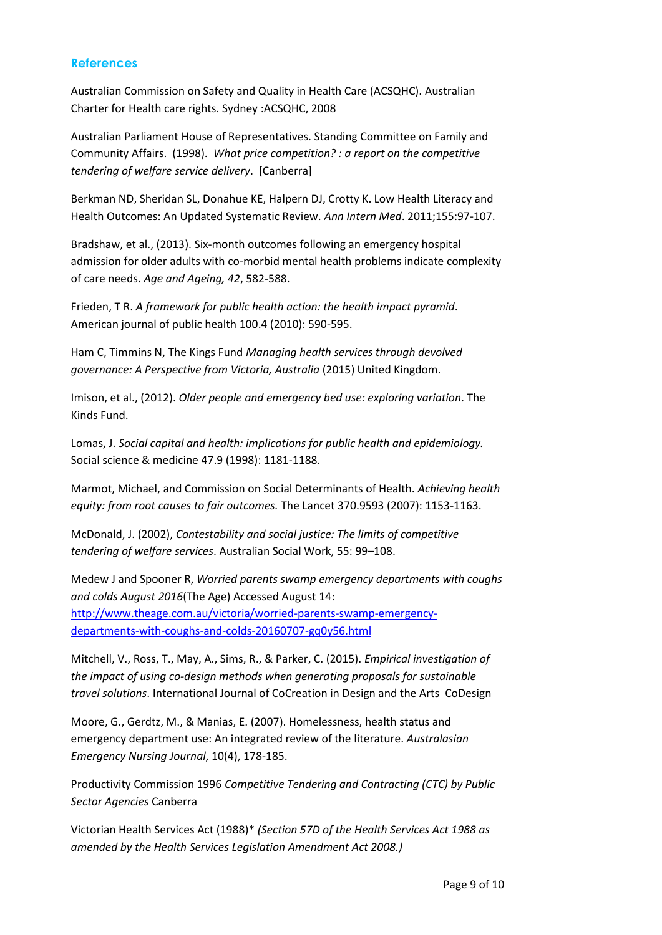#### **References**

Australian Commission on Safety and Quality in Health Care (ACSQHC). Australian Charter for Health care rights. Sydney :ACSQHC, 2008

Australian Parliament House of Representatives. Standing Committee on Family and Community Affairs. (1998). *What price competition? : a report on the competitive tendering of welfare service delivery*. [Canberra]

Berkman ND, Sheridan SL, Donahue KE, Halpern DJ, Crotty K. Low Health Literacy and Health Outcomes: An Updated Systematic Review. *Ann Intern Med*. 2011;155:97-107.

Bradshaw, et al., (2013). Six-month outcomes following an emergency hospital admission for older adults with co-morbid mental health problems indicate complexity of care needs. *Age and Ageing, 42*, 582-588.

Frieden, T R. *A framework for public health action: the health impact pyramid*. American journal of public health 100.4 (2010): 590-595.

Ham C, Timmins N, The Kings Fund *Managing health services through devolved governance: A Perspective from Victoria, Australia* (2015) United Kingdom.

Imison, et al., (2012). *Older people and emergency bed use: exploring variation*. The Kinds Fund.

Lomas, J. *Social capital and health: implications for public health and epidemiology.*  Social science & medicine 47.9 (1998): 1181-1188.

Marmot, Michael, and Commission on Social Determinants of Health. *Achieving health equity: from root causes to fair outcomes.* The Lancet 370.9593 (2007): 1153-1163.

McDonald, J. (2002), *Contestability and social justice: The limits of competitive tendering of welfare services*. Australian Social Work, 55: 99–108.

Medew J and Spooner R, *Worried parents swamp emergency departments with coughs and colds August 2016*(The Age) Accessed August 14: [http://www.theage.com.au/victoria/worried-parents-swamp-emergency](http://www.theage.com.au/victoria/worried-parents-swamp-emergency-departments-with-coughs-and-colds-20160707-gq0y56.html)[departments-with-coughs-and-colds-20160707-gq0y56.html](http://www.theage.com.au/victoria/worried-parents-swamp-emergency-departments-with-coughs-and-colds-20160707-gq0y56.html)

Mitchell, V., Ross, T., May, A., Sims, R., & Parker, C. (2015). *Empirical investigation of the impact of using co-design methods when generating proposals for sustainable travel solutions*. International Journal of CoCreation in Design and the Arts CoDesign

Moore, G., Gerdtz, M., & Manias, E. (2007). Homelessness, health status and emergency department use: An integrated review of the literature. *Australasian Emergency Nursing Journal*, 10(4), 178-185.

Productivity Commission 1996 *Competitive Tendering and Contracting (CTC) by Public Sector Agencies* Canberra

Victorian Health Services Act (1988)\* *(Section 57D of the Health Services Act 1988 as amended by the Health Services Legislation Amendment Act 2008.)*